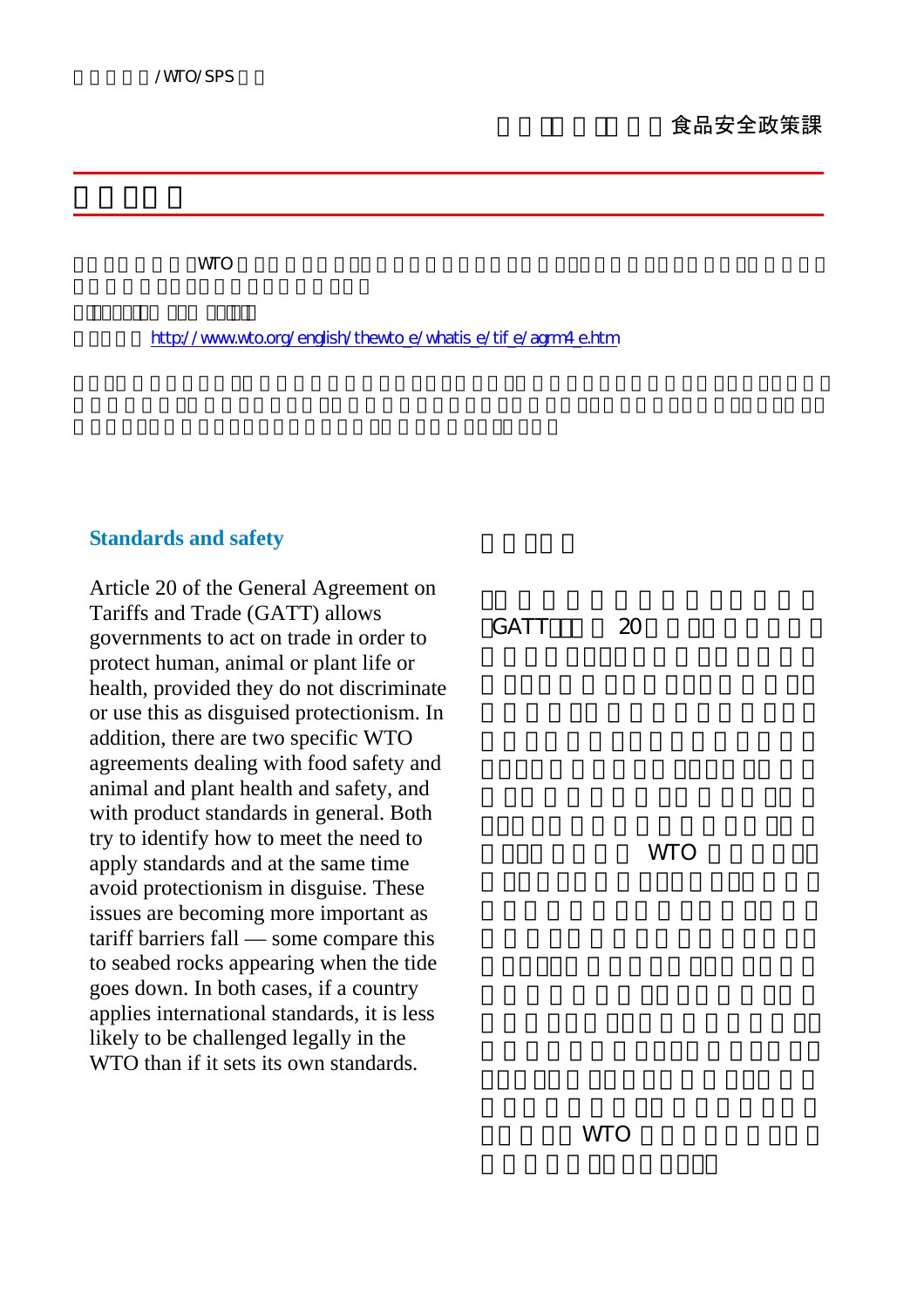これらの解説は、WTO から許可を得て、そのホームページから転載し、また翻訳したものです。転載元ペー

http://www.wto.org/english/thewto\_e/whatis\_e/tif\_e/agrm4\_e.htm

## **Standards and safety**

Article 20 of the General Agreement on Tariffs and Trade (GATT) allows governments to act on trade in order to protect human, animal or plant life or health, provided they do not discriminate or use this as disguised protectionism. In addition, there are two specific WTO agreements dealing with food safety and animal and plant health and safety, and with product standards in general. Both try to identify how to meet the need to apply standards and at the same time avoid protectionism in disguise. These issues are becoming more important as tariff barriers fall — some compare this to seabed rocks appearing when the tide goes down. In both cases, if a country applies international standards, it is less likely to be challenged legally in the WTO than if it sets its own standards.

 $GATT$  20 **WTO** 

**WTO**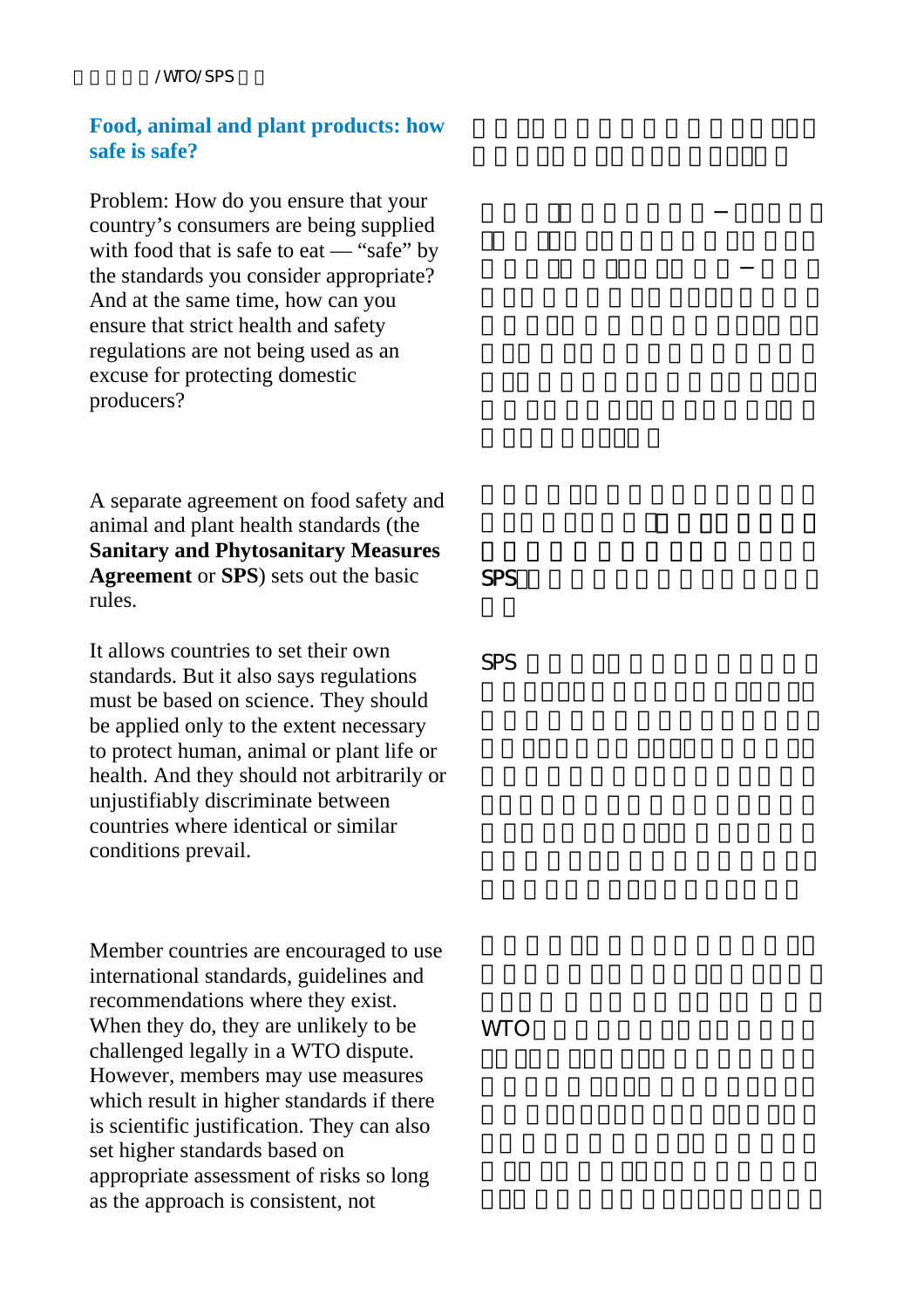#### /WTO/SPS

# **Food, animal and plant products: how safe is safe?**

Problem: How do you ensure that your country's consumers are being supplied with food that is safe to eat — "safe" by the standards you consider appropriate? And at the same time, how can you ensure that strict health and safety regulations are not being used as an excuse for protecting domestic producers?

A separate agreement on food safety and animal and plant health standards (the **Sanitary and Phytosanitary Measures Agreement** or **SPS**) sets out the basic rules.

It allows countries to set their own standards. But it also says regulations must be based on science. They should be applied only to the extent necessary to protect human, animal or plant life or health. And they should not arbitrarily or unjustifiably discriminate between countries where identical or similar conditions prevail.

Member countries are encouraged to use international standards, guidelines and recommendations where they exist. When they do, they are unlikely to be challenged legally in a WTO dispute. However, members may use measures which result in higher standards if there is scientific justification. They can also set higher standards based on appropriate assessment of risks so long as the approach is consistent, not

 $SPS$ 

SPS and the state of the state of the state of the state of the state of the state of the state of the state of the state of the state of the state of the state of the state of the state of the state of the state of the st

**WTO**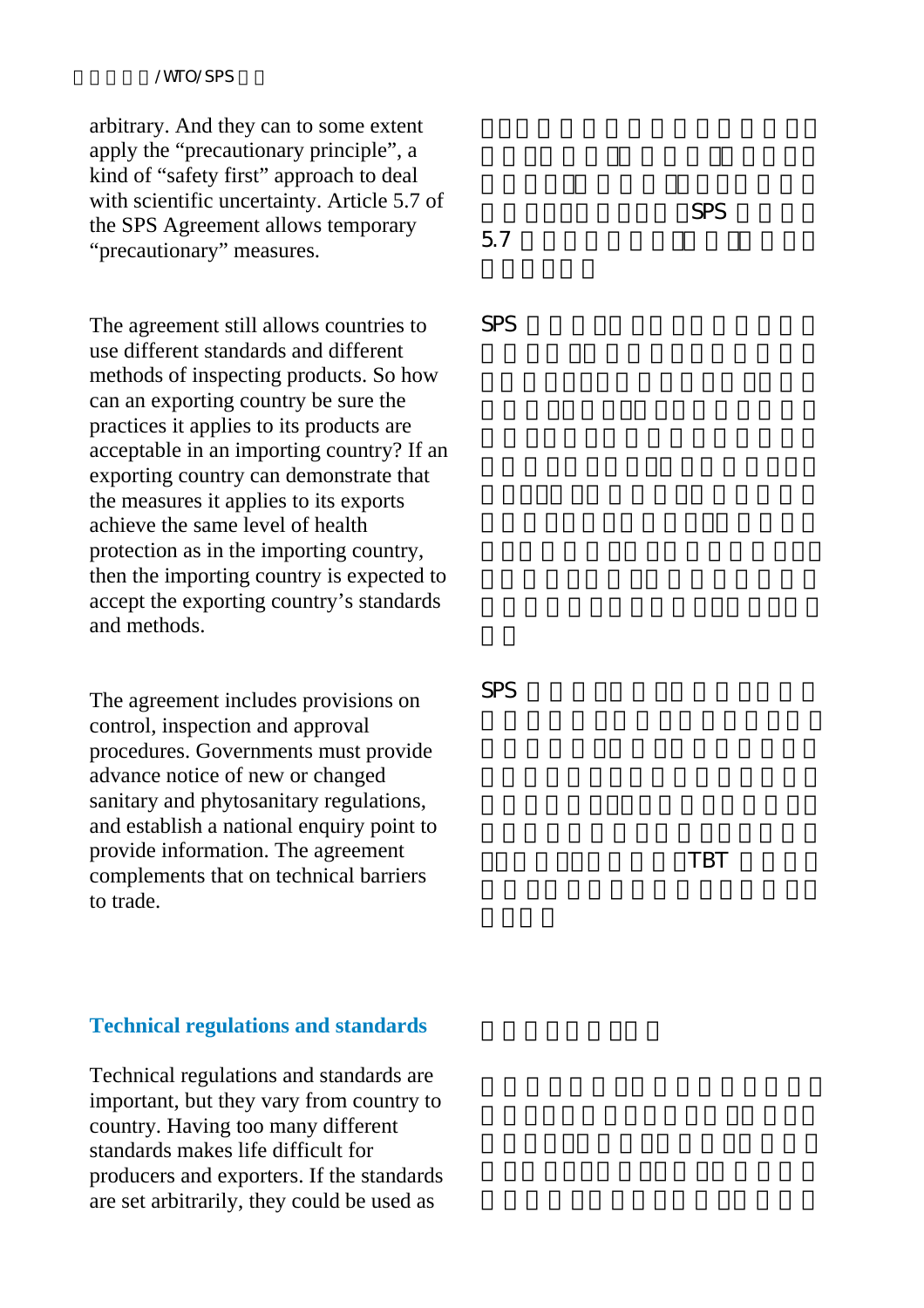#### /WTO/SPS

arbitrary. And they can to some extent apply the "precautionary principle", a kind of "safety first" approach to deal with scientific uncertainty. Article 5.7 of the SPS Agreement allows temporary "precautionary" measures.

The agreement still allows countries to use different standards and different methods of inspecting products. So how can an exporting country be sure the practices it applies to its products are acceptable in an importing country? If an exporting country can demonstrate that the measures it applies to its exports achieve the same level of health protection as in the importing country, then the importing country is expected to accept the exporting country's standards and methods.

The agreement includes provisions on control, inspection and approval procedures. Governments must provide advance notice of new or changed sanitary and phytosanitary regulations, and establish a national enquiry point to provide information. The agreement complements that on technical barriers to trade.

### **Technical regulations and standards**

Technical regulations and standards are important, but they vary from country to country. Having too many different standards makes life difficult for producers and exporters. If the standards are set arbitrarily, they could be used as

and SPS and SPS and  $S$  $5.7$ 

SPS and the state  $\sim$ 

SPS and the set of the set of the set of the set of the set of the set of the set of the set of the set of the set of the set of the set of the set of the set of the set of the set of the set of the set of the set of the s

りません。この協定は、TBT 協定でカ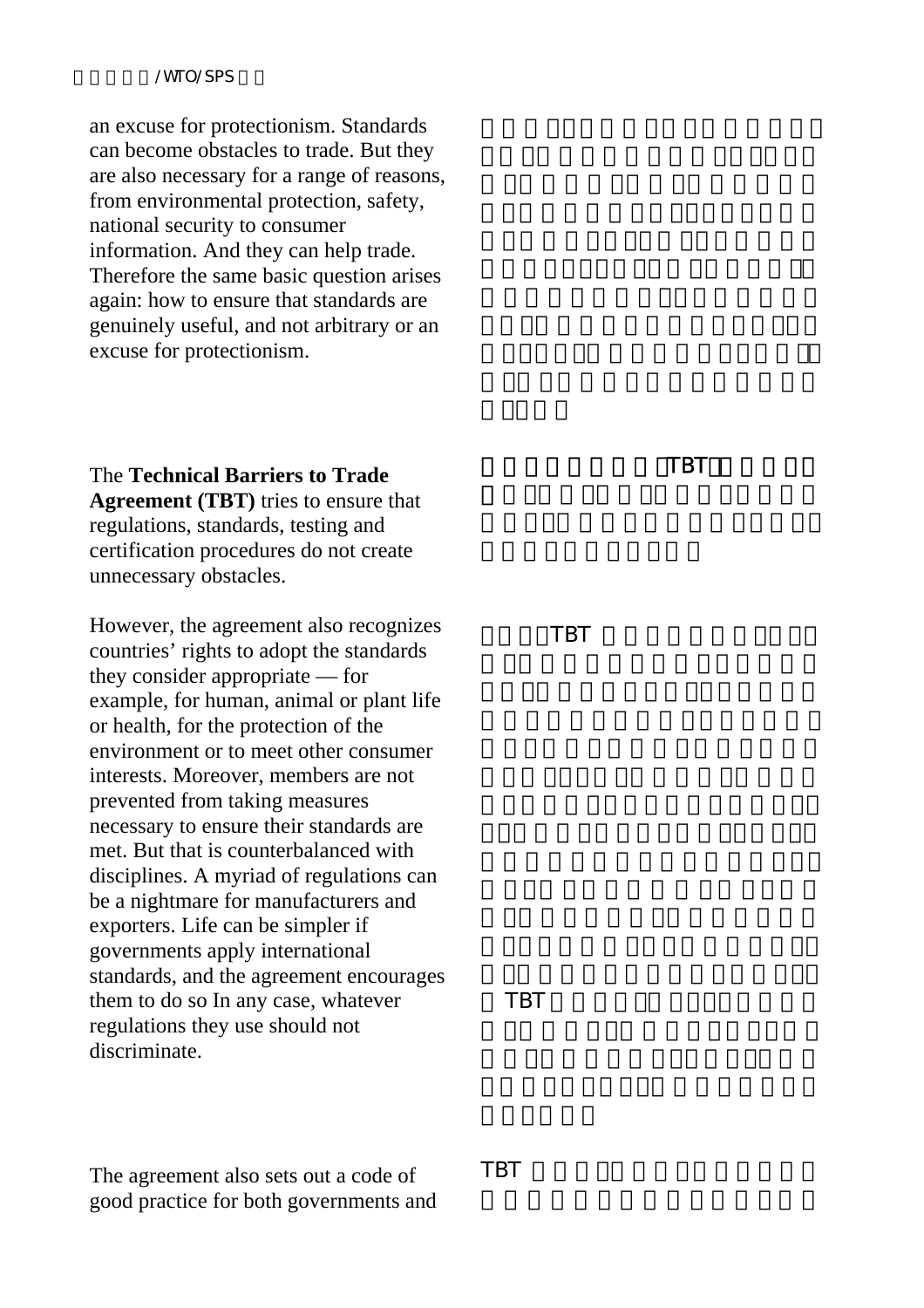#### /WTO/SPS

an excuse for protectionism. Standards can become obstacles to trade. But they are also necessary for a range of reasons, from environmental protection, safety, national security to consumer information. And they can help trade. Therefore the same basic question arises again: how to ensure that standards are genuinely useful, and not arbitrary or an excuse for protectionism.

The **Technical Barriers to Trade Agreement (TBT)** tries to ensure that regulations, standards, testing and certification procedures do not create unnecessary obstacles.

However, the agreement also recognizes countries' rights to adopt the standards they consider appropriate — for example, for human, animal or plant life or health, for the protection of the environment or to meet other consumer interests. Moreover, members are not prevented from taking measures necessary to ensure their standards are met. But that is counterbalanced with disciplines. A myriad of regulations can be a nightmare for manufacturers and exporters. Life can be simpler if governments apply international standards, and the agreement encourages them to do so In any case, whatever regulations they use should not discriminate.

TBT

TBT GEORGIE

TBT STEEPING

The agreement also sets out a code of good practice for both governments and TBT GEORGIA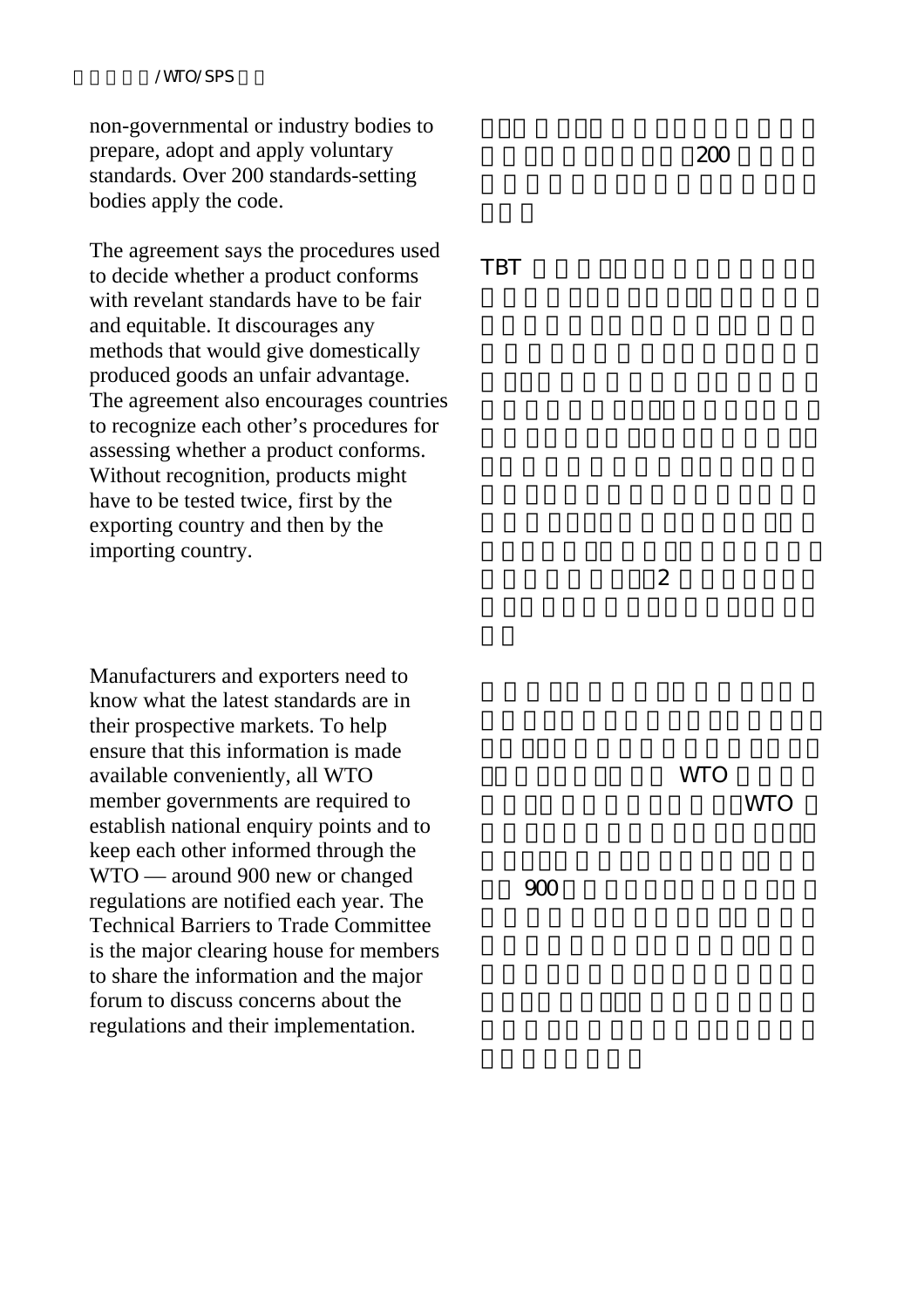non-governmental or industry bodies to prepare, adopt and apply voluntary standards. Over 200 standards-setting bodies apply the code.

The agreement says the procedures used to decide whether a product conforms with revelant standards have to be fair and equitable. It discourages any methods that would give domestically produced goods an unfair advantage. The agreement also encourages countries to recognize each other's procedures for assessing whether a product conforms. Without recognition, products might have to be tested twice, first by the exporting country and then by the importing country.

Manufacturers and exporters need to know what the latest standards are in their prospective markets. To help ensure that this information is made available conveniently, all WTO member governments are required to establish national enquiry points and to keep each other informed through the WTO — around 900 new or changed regulations are notified each year. The Technical Barriers to Trade Committee is the major clearing house for members to share the information and the major forum to discuss concerns about the regulations and their implementation.

TBT GEORGIA

 $\overline{2}$ 

**WTO WTO** 

よそ 900 の新たなあるいは変更された

 $200$